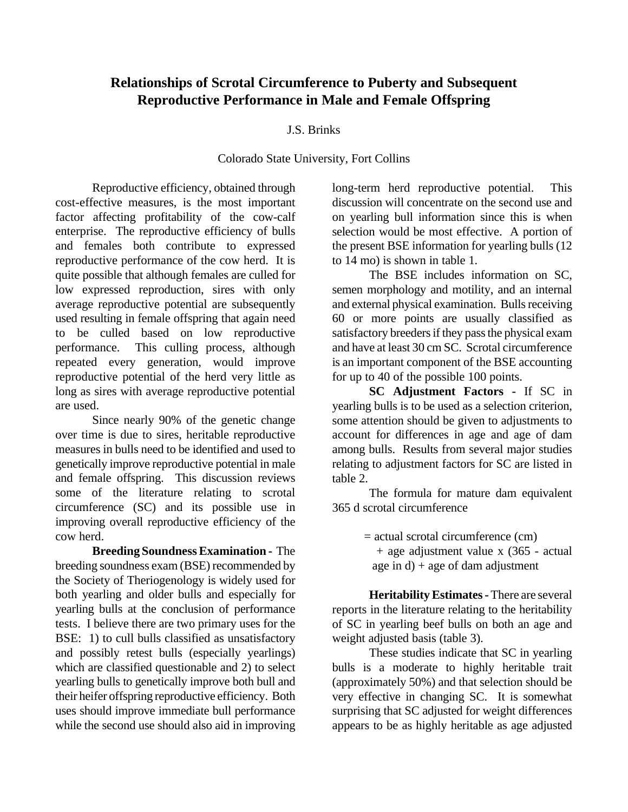# **Relationships of Scrotal Circumference to Puberty and Subsequent Reproductive Performance in Male and Female Offspring**

### J.S. Brinks

#### Colorado State University, Fort Collins

Reproductive efficiency, obtained through cost-effective measures, is the most important factor affecting profitability of the cow-calf enterprise. The reproductive efficiency of bulls and females both contribute to expressed reproductive performance of the cow herd. It is quite possible that although females are culled for low expressed reproduction, sires with only average reproductive potential are subsequently used resulting in female offspring that again need to be culled based on low reproductive performance. This culling process, although repeated every generation, would improve reproductive potential of the herd very little as long as sires with average reproductive potential are used.

Since nearly 90% of the genetic change over time is due to sires, heritable reproductive measures in bulls need to be identified and used to genetically improve reproductive potential in male and female offspring. This discussion reviews some of the literature relating to scrotal circumference (SC) and its possible use in improving overall reproductive efficiency of the cow herd.

**Breeding Soundness Examination -** The breeding soundness exam (BSE) recommended by the Society of Theriogenology is widely used for both yearling and older bulls and especially for yearling bulls at the conclusion of performance tests. I believe there are two primary uses for the BSE: 1) to cull bulls classified as unsatisfactory and possibly retest bulls (especially yearlings) which are classified questionable and 2) to select yearling bulls to genetically improve both bull and their heifer offspring reproductive efficiency. Both uses should improve immediate bull performance while the second use should also aid in improving

long-term herd reproductive potential. This discussion will concentrate on the second use and on yearling bull information since this is when selection would be most effective. A portion of the present BSE information for yearling bulls (12 to 14 mo) is shown in table 1.

The BSE includes information on SC, semen morphology and motility, and an internal and external physical examination. Bulls receiving 60 or more points are usually classified as satisfactory breeders if they pass the physical exam and have at least 30 cm SC. Scrotal circumference is an important component of the BSE accounting for up to 40 of the possible 100 points.

**SC Adjustment Factors -** If SC in yearling bulls is to be used as a selection criterion, some attention should be given to adjustments to account for differences in age and age of dam among bulls. Results from several major studies relating to adjustment factors for SC are listed in table 2.

The formula for mature dam equivalent 365 d scrotal circumference

 $=$  actual scrotal circumference (cm)

 + age adjustment value x (365 - actual age in  $d$ ) + age of dam adjustment

**Heritability Estimates -** There are several reports in the literature relating to the heritability of SC in yearling beef bulls on both an age and weight adjusted basis (table 3).

These studies indicate that SC in yearling bulls is a moderate to highly heritable trait (approximately 50%) and that selection should be very effective in changing SC. It is somewhat surprising that SC adjusted for weight differences appears to be as highly heritable as age adjusted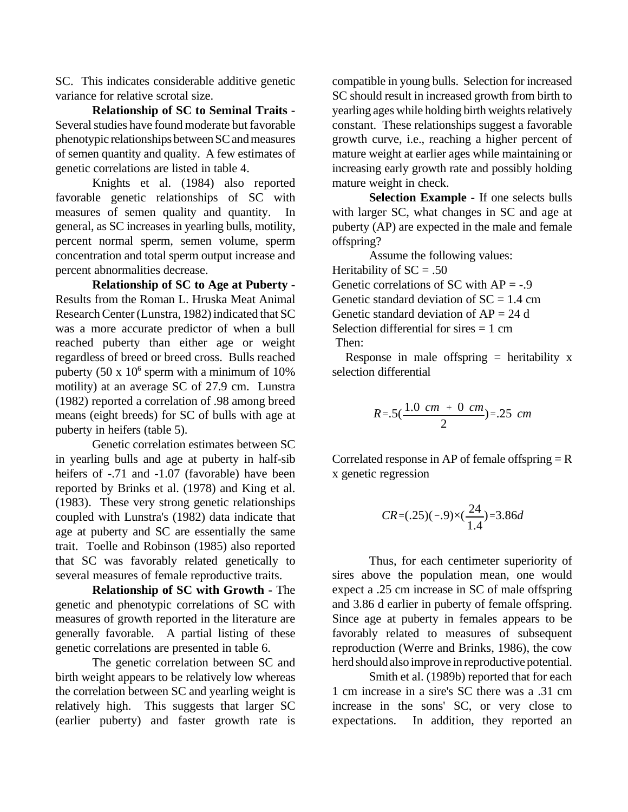SC. This indicates considerable additive genetic variance for relative scrotal size.

**Relationship of SC to Seminal Traits -** Several studies have found moderate but favorable phenotypic relationships between SC and measures of semen quantity and quality. A few estimates of genetic correlations are listed in table 4.

Knights et al. (1984) also reported favorable genetic relationships of SC with measures of semen quality and quantity. In general, as SC increases in yearling bulls, motility, percent normal sperm, semen volume, sperm concentration and total sperm output increase and percent abnormalities decrease.

**Relationship of SC to Age at Puberty -** Results from the Roman L. Hruska Meat Animal Research Center (Lunstra, 1982) indicated that SC was a more accurate predictor of when a bull reached puberty than either age or weight regardless of breed or breed cross. Bulls reached puberty (50 x  $10^6$  sperm with a minimum of  $10\%$ motility) at an average SC of 27.9 cm. Lunstra (1982) reported a correlation of .98 among breed means (eight breeds) for SC of bulls with age at puberty in heifers (table 5).

Genetic correlation estimates between SC in yearling bulls and age at puberty in half-sib heifers of -.71 and -1.07 (favorable) have been reported by Brinks et al. (1978) and King et al. (1983). These very strong genetic relationships coupled with Lunstra's (1982) data indicate that age at puberty and SC are essentially the same trait. Toelle and Robinson (1985) also reported that SC was favorably related genetically to several measures of female reproductive traits.

**Relationship of SC with Growth -** The genetic and phenotypic correlations of SC with measures of growth reported in the literature are generally favorable. A partial listing of these genetic correlations are presented in table 6.

The genetic correlation between SC and birth weight appears to be relatively low whereas the correlation between SC and yearling weight is relatively high. This suggests that larger SC (earlier puberty) and faster growth rate is

compatible in young bulls. Selection for increased SC should result in increased growth from birth to yearling ages while holding birth weights relatively constant. These relationships suggest a favorable growth curve, i.e., reaching a higher percent of mature weight at earlier ages while maintaining or increasing early growth rate and possibly holding mature weight in check.

**Selection Example -** If one selects bulls with larger SC, what changes in SC and age at puberty (AP) are expected in the male and female offspring?

Assume the following values: Heritability of  $SC = .50$ Genetic correlations of SC with  $AP = -0.9$ Genetic standard deviation of  $SC = 1.4$  cm Genetic standard deviation of  $AP = 24$  d Selection differential for sires  $= 1$  cm Then:

Response in male offspring  $=$  heritability x selection differential

$$
R=.5(\frac{1.0 \text{ cm } + 0 \text{ cm}}{2})=.25 \text{ cm}
$$

Correlated response in AP of female offspring  $=$  R x genetic regression

$$
CR = (.25)(-.9) \times (\frac{24}{1.4}) = 3.86d
$$

Thus, for each centimeter superiority of sires above the population mean, one would expect a .25 cm increase in SC of male offspring and 3.86 d earlier in puberty of female offspring. Since age at puberty in females appears to be favorably related to measures of subsequent reproduction (Werre and Brinks, 1986), the cow herd should also improve in reproductive potential.

Smith et al. (1989b) reported that for each 1 cm increase in a sire's SC there was a .31 cm increase in the sons' SC, or very close to expectations. In addition, they reported an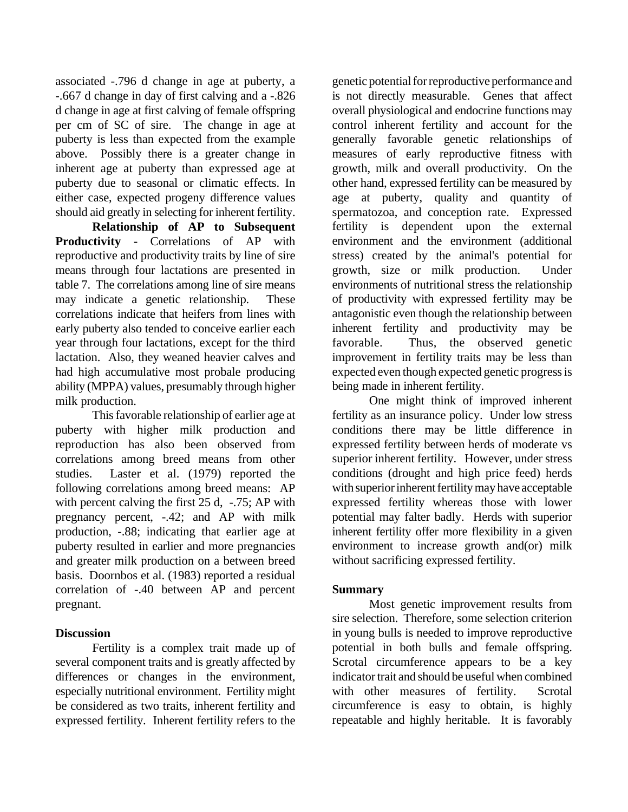associated -.796 d change in age at puberty, a -.667 d change in day of first calving and a -.826 d change in age at first calving of female offspring per cm of SC of sire. The change in age at puberty is less than expected from the example above. Possibly there is a greater change in inherent age at puberty than expressed age at puberty due to seasonal or climatic effects. In either case, expected progeny difference values should aid greatly in selecting for inherent fertility.

**Relationship of AP to Subsequent Productivity -** Correlations of AP with reproductive and productivity traits by line of sire means through four lactations are presented in table 7. The correlations among line of sire means may indicate a genetic relationship. These correlations indicate that heifers from lines with early puberty also tended to conceive earlier each year through four lactations, except for the third lactation. Also, they weaned heavier calves and had high accumulative most probale producing ability (MPPA) values, presumably through higher milk production.

This favorable relationship of earlier age at puberty with higher milk production and reproduction has also been observed from correlations among breed means from other studies. Laster et al. (1979) reported the following correlations among breed means: AP with percent calving the first 25 d, -.75; AP with pregnancy percent, -.42; and AP with milk production, -.88; indicating that earlier age at puberty resulted in earlier and more pregnancies and greater milk production on a between breed basis. Doornbos et al. (1983) reported a residual correlation of -.40 between AP and percent pregnant.

## **Discussion**

Fertility is a complex trait made up of several component traits and is greatly affected by differences or changes in the environment. especially nutritional environment. Fertility might be considered as two traits, inherent fertility and expressed fertility. Inherent fertility refers to the

genetic potential for reproductive performance and is not directly measurable. Genes that affect overall physiological and endocrine functions may control inherent fertility and account for the generally favorable genetic relationships of measures of early reproductive fitness with growth, milk and overall productivity. On the other hand, expressed fertility can be measured by age at puberty, quality and quantity of spermatozoa, and conception rate. Expressed fertility is dependent upon the external environment and the environment (additional stress) created by the animal's potential for growth, size or milk production. Under environments of nutritional stress the relationship of productivity with expressed fertility may be antagonistic even though the relationship between inherent fertility and productivity may be favorable. Thus, the observed genetic improvement in fertility traits may be less than expected even though expected genetic progress is being made in inherent fertility.

One might think of improved inherent fertility as an insurance policy. Under low stress conditions there may be little difference in expressed fertility between herds of moderate vs superior inherent fertility. However, under stress conditions (drought and high price feed) herds with superior inherent fertility may have acceptable expressed fertility whereas those with lower potential may falter badly. Herds with superior inherent fertility offer more flexibility in a given environment to increase growth and(or) milk without sacrificing expressed fertility.

## **Summary**

Most genetic improvement results from sire selection. Therefore, some selection criterion in young bulls is needed to improve reproductive potential in both bulls and female offspring. Scrotal circumference appears to be a key indicator trait and should be useful when combined with other measures of fertility. Scrotal circumference is easy to obtain, is highly repeatable and highly heritable. It is favorably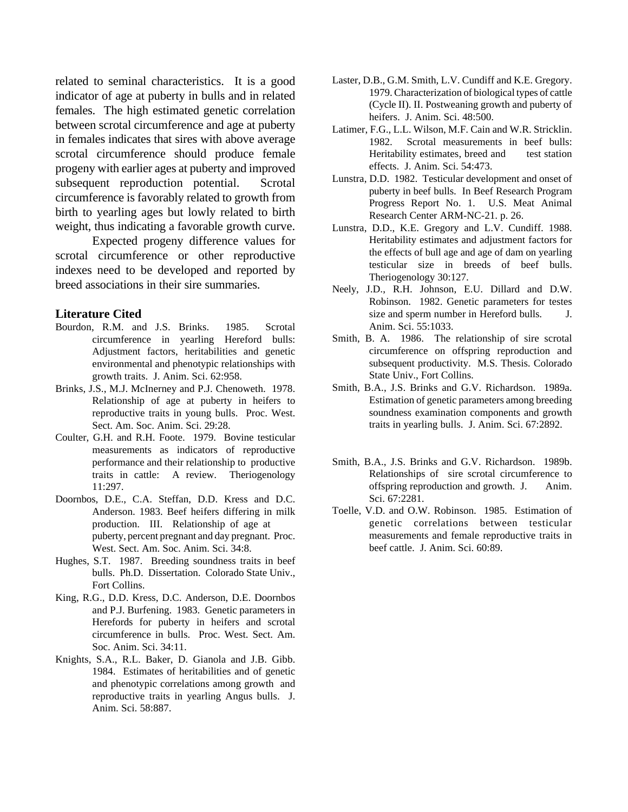related to seminal characteristics. It is a good indicator of age at puberty in bulls and in related females. The high estimated genetic correlation between scrotal circumference and age at puberty in females indicates that sires with above average scrotal circumference should produce female progeny with earlier ages at puberty and improved subsequent reproduction potential. Scrotal circumference is favorably related to growth from birth to yearling ages but lowly related to birth weight, thus indicating a favorable growth curve.

Expected progeny difference values for scrotal circumference or other reproductive indexes need to be developed and reported by breed associations in their sire summaries.

#### **Literature Cited**

- Bourdon, R.M. and J.S. Brinks. 1985. Scrotal circumference in yearling Hereford bulls: Adjustment factors, heritabilities and genetic environmental and phenotypic relationships with growth traits. J. Anim. Sci. 62:958.
- Brinks, J.S., M.J. McInerney and P.J. Chenoweth. 1978. Relationship of age at puberty in heifers to reproductive traits in young bulls. Proc. West. Sect. Am. Soc. Anim. Sci. 29:28.
- Coulter, G.H. and R.H. Foote. 1979. Bovine testicular measurements as indicators of reproductive performance and their relationship to productive traits in cattle: A review. Theriogenology 11:297.
- Doornbos, D.E., C.A. Steffan, D.D. Kress and D.C. Anderson. 1983. Beef heifers differing in milk production. III. Relationship of age at puberty, percent pregnant and day pregnant. Proc. West. Sect. Am. Soc. Anim. Sci. 34:8.
- Hughes, S.T. 1987. Breeding soundness traits in beef bulls. Ph.D. Dissertation. Colorado State Univ., Fort Collins.
- King, R.G., D.D. Kress, D.C. Anderson, D.E. Doornbos and P.J. Burfening. 1983. Genetic parameters in Herefords for puberty in heifers and scrotal circumference in bulls. Proc. West. Sect. Am. Soc. Anim. Sci. 34:11.
- Knights, S.A., R.L. Baker, D. Gianola and J.B. Gibb. 1984. Estimates of heritabilities and of genetic and phenotypic correlations among growth and reproductive traits in yearling Angus bulls. J. Anim. Sci. 58:887.
- Laster, D.B., G.M. Smith, L.V. Cundiff and K.E. Gregory. 1979. Characterization of biological types of cattle (Cycle II). II. Postweaning growth and puberty of heifers. J. Anim. Sci. 48:500.
- Latimer, F.G., L.L. Wilson, M.F. Cain and W.R. Stricklin. 1982. Scrotal measurements in beef bulls: Heritability estimates, breed and test station effects. J. Anim. Sci. 54:473.
- Lunstra, D.D. 1982. Testicular development and onset of puberty in beef bulls. In Beef Research Program Progress Report No. 1. U.S. Meat Animal Research Center ARM-NC-21. p. 26.
- Lunstra, D.D., K.E. Gregory and L.V. Cundiff. 1988. Heritability estimates and adjustment factors for the effects of bull age and age of dam on yearling testicular size in breeds of beef bulls. Theriogenology 30:127.
- Neely, J.D., R.H. Johnson, E.U. Dillard and D.W. Robinson. 1982. Genetic parameters for testes size and sperm number in Hereford bulls. J. Anim. Sci. 55:1033.
- Smith, B. A. 1986. The relationship of sire scrotal circumference on offspring reproduction and subsequent productivity. M.S. Thesis. Colorado State Univ., Fort Collins.
- Smith, B.A., J.S. Brinks and G.V. Richardson. 1989a. Estimation of genetic parameters among breeding soundness examination components and growth traits in yearling bulls. J. Anim. Sci. 67:2892.
- Smith, B.A., J.S. Brinks and G.V. Richardson. 1989b. Relationships of sire scrotal circumference to offspring reproduction and growth. J. Anim. Sci. 67:2281.
- Toelle, V.D. and O.W. Robinson. 1985. Estimation of genetic correlations between testicular measurements and female reproductive traits in beef cattle. J. Anim. Sci. 60:89.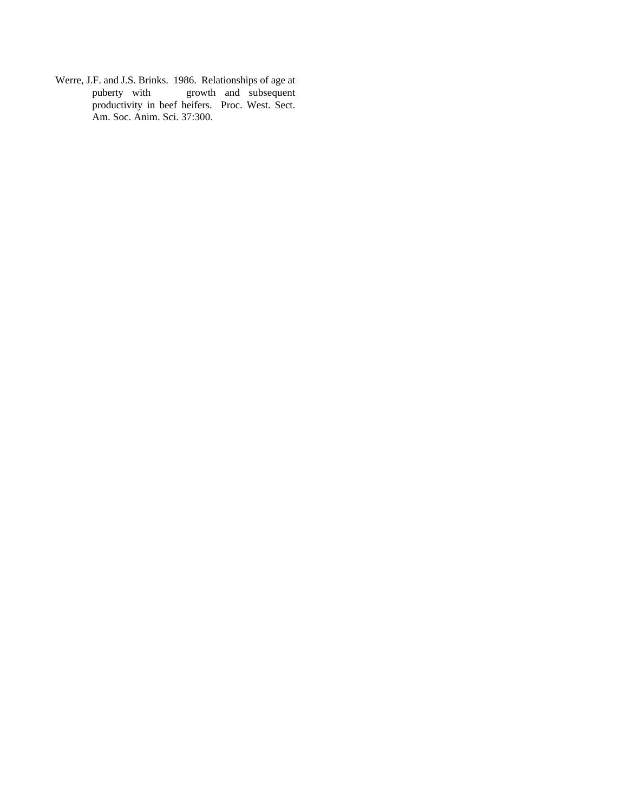Werre, J.F. and J.S. Brinks. 1986. Relationships of age at puberty with growth and subsequent productivity in beef heifers. Proc. West. Sect. Am. Soc. Anim. Sci. 37:300.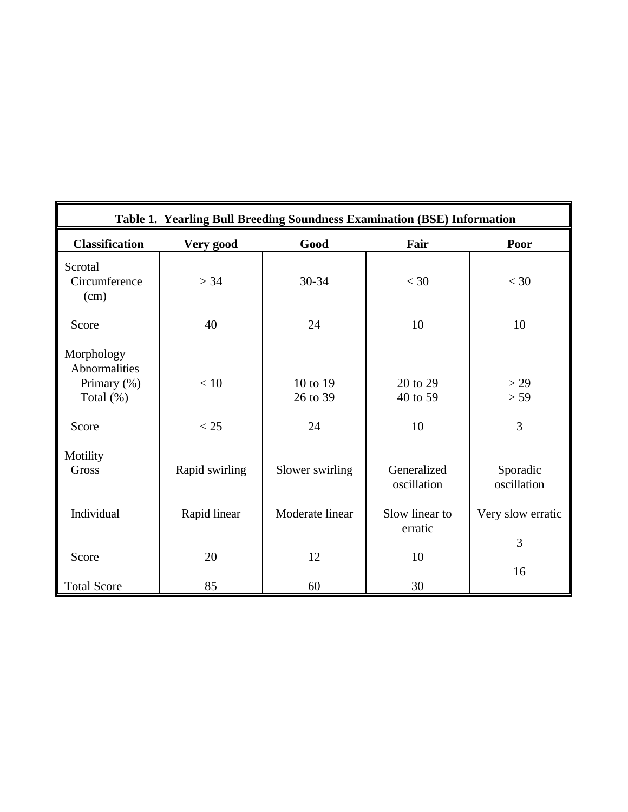| Table 1. Yearling Bull Breeding Soundness Examination (BSE) Information |                |                      |                            |                         |  |  |  |  |  |
|-------------------------------------------------------------------------|----------------|----------------------|----------------------------|-------------------------|--|--|--|--|--|
| <b>Classification</b>                                                   | Very good      | Good                 | Fair                       | Poor                    |  |  |  |  |  |
| Scrotal<br>Circumference<br>(cm)                                        | > 34           | 30-34                | $<$ 30                     | $<$ 30                  |  |  |  |  |  |
| Score                                                                   | 40             | 24                   | 10                         | 10                      |  |  |  |  |  |
| Morphology<br>Abnormalities<br>Primary (%)<br>Total $(\%)$              | $<10$          | 10 to 19<br>26 to 39 | 20 to 29<br>40 to 59       | >29<br>> 59             |  |  |  |  |  |
| Score                                                                   | < 25           | 24                   | 10                         | 3                       |  |  |  |  |  |
| Motility<br><b>Gross</b>                                                | Rapid swirling | Slower swirling      | Generalized<br>oscillation | Sporadic<br>oscillation |  |  |  |  |  |
| Individual                                                              | Rapid linear   | Moderate linear      | Slow linear to<br>erratic  | Very slow erratic       |  |  |  |  |  |
| Score                                                                   | 20             | 12                   | 10                         | 3<br>16                 |  |  |  |  |  |
| <b>Total Score</b>                                                      | 85             | 60                   | 30                         |                         |  |  |  |  |  |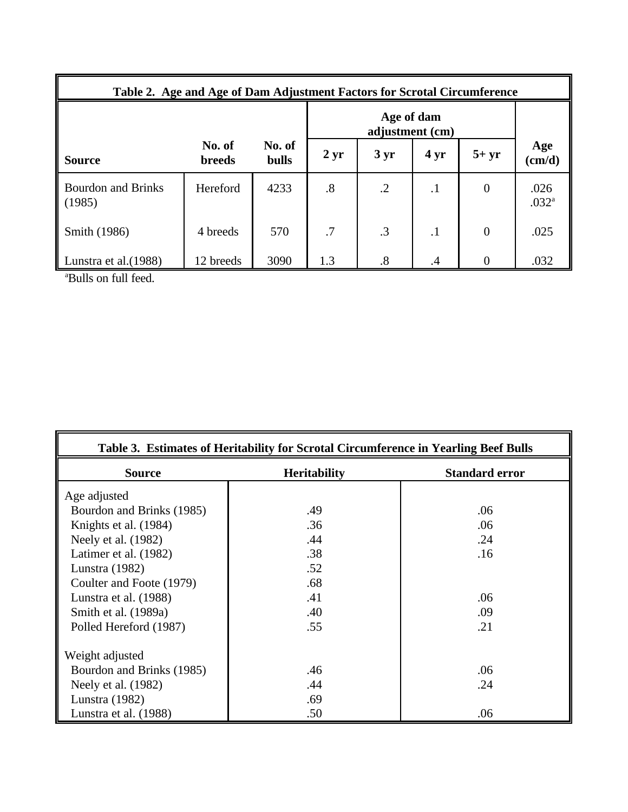| Table 2. Age and Age of Dam Adjustment Factors for Scrotal Circumference |                         |                        |           |                   |                 |                  |                           |  |  |
|--------------------------------------------------------------------------|-------------------------|------------------------|-----------|-------------------|-----------------|------------------|---------------------------|--|--|
|                                                                          |                         |                        |           |                   |                 |                  |                           |  |  |
| <b>Source</b>                                                            | No. of<br><b>breeds</b> | No. of<br><b>bulls</b> | $2 \, yr$ | $3 \text{ yr}$    | 4 <sub>yr</sub> | $5+yr$           | Age<br>(cm/d)             |  |  |
| <b>Bourdon and Brinks</b><br>(1985)                                      | Hereford                | 4233                   | .8        | $\cdot$ .2        | $\cdot$ 1       | $\boldsymbol{0}$ | .026<br>.032 <sup>a</sup> |  |  |
| Smith (1986)                                                             | 4 breeds                | 570                    | .7        | .3                | $\cdot$         | $\boldsymbol{0}$ | .025                      |  |  |
| Lunstra et al. (1988)                                                    | 12 breeds               | 3090                   | 1.3       | $\boldsymbol{.8}$ | .4              | $\Omega$         | .032                      |  |  |

<sup>a</sup>Bulls on full feed.

| Table 3. Estimates of Heritability for Scrotal Circumference in Yearling Beef Bulls |                     |                       |  |  |  |  |  |  |  |
|-------------------------------------------------------------------------------------|---------------------|-----------------------|--|--|--|--|--|--|--|
| <b>Source</b>                                                                       | <b>Heritability</b> | <b>Standard error</b> |  |  |  |  |  |  |  |
| Age adjusted                                                                        |                     |                       |  |  |  |  |  |  |  |
| Bourdon and Brinks (1985)                                                           | .49                 | .06                   |  |  |  |  |  |  |  |
| Knights et al. (1984)                                                               | .36                 | .06                   |  |  |  |  |  |  |  |
| Neely et al. (1982)                                                                 | .44                 | .24                   |  |  |  |  |  |  |  |
| Latimer et al. (1982)                                                               | .38                 | .16                   |  |  |  |  |  |  |  |
| Lunstra (1982)                                                                      | .52                 |                       |  |  |  |  |  |  |  |
| Coulter and Foote (1979)                                                            | .68                 |                       |  |  |  |  |  |  |  |
| Lunstra et al. (1988)                                                               | .41                 | .06                   |  |  |  |  |  |  |  |
| Smith et al. (1989a)                                                                | .40                 | .09                   |  |  |  |  |  |  |  |
| Polled Hereford (1987)                                                              | .55                 | .21                   |  |  |  |  |  |  |  |
| Weight adjusted                                                                     |                     |                       |  |  |  |  |  |  |  |
| Bourdon and Brinks (1985)                                                           | .46                 | .06                   |  |  |  |  |  |  |  |
| Neely et al. (1982)                                                                 | .44                 | .24                   |  |  |  |  |  |  |  |
| Lunstra (1982)                                                                      | .69                 |                       |  |  |  |  |  |  |  |
| Lunstra et al. (1988)                                                               | .50                 | .06                   |  |  |  |  |  |  |  |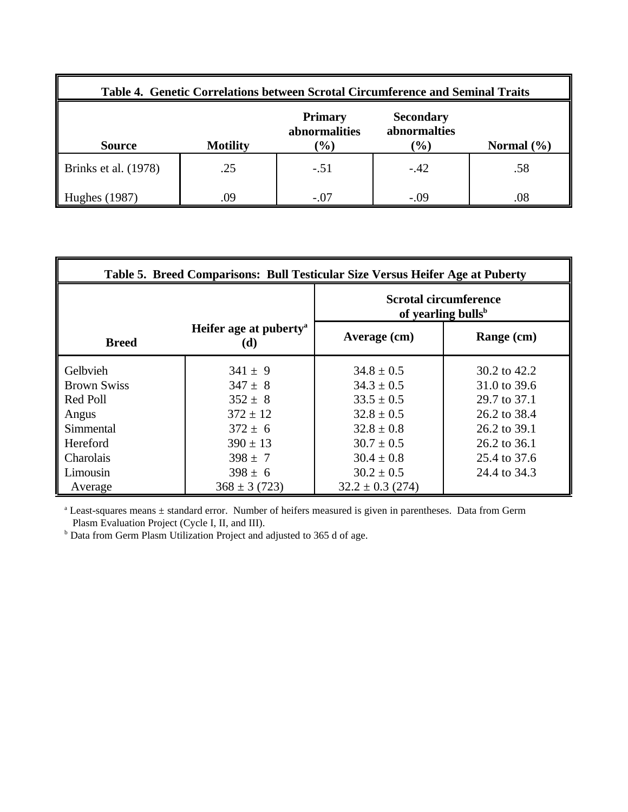| Table 4. Genetic Correlations between Scrotal Circumference and Seminal Traits |                                                                                                                                               |        |        |     |  |  |  |  |  |
|--------------------------------------------------------------------------------|-----------------------------------------------------------------------------------------------------------------------------------------------|--------|--------|-----|--|--|--|--|--|
| <b>Source</b>                                                                  | <b>Primary</b><br><b>Secondary</b><br>abnormalities<br>abnormalties<br>$\frac{1}{2}$<br>$\mathcal{O}(6)$<br><b>Motility</b><br>Normal $(\% )$ |        |        |     |  |  |  |  |  |
| Brinks et al. (1978)                                                           | .25                                                                                                                                           | $-.51$ | $-.42$ | .58 |  |  |  |  |  |
| Hughes (1987)                                                                  | .09                                                                                                                                           | $-.07$ | $-.09$ | .08 |  |  |  |  |  |

| Table 5. Breed Comparisons: Bull Testicular Size Versus Heifer Age at Puberty |                                           |                                                                |              |  |  |  |  |  |  |
|-------------------------------------------------------------------------------|-------------------------------------------|----------------------------------------------------------------|--------------|--|--|--|--|--|--|
|                                                                               |                                           | <b>Scrotal circumference</b><br>of yearling bulls <sup>b</sup> |              |  |  |  |  |  |  |
| <b>Breed</b>                                                                  | Heifer age at puberty <sup>a</sup><br>(d) | Average (cm)                                                   | Range (cm)   |  |  |  |  |  |  |
| Gelbvieh                                                                      | $341 \pm 9$                               | $34.8 \pm 0.5$                                                 | 30.2 to 42.2 |  |  |  |  |  |  |
| <b>Brown Swiss</b>                                                            | $347 \pm 8$                               | $34.3 \pm 0.5$                                                 | 31.0 to 39.6 |  |  |  |  |  |  |
| Red Poll                                                                      | $352 \pm 8$                               | $33.5 \pm 0.5$                                                 | 29.7 to 37.1 |  |  |  |  |  |  |
| Angus                                                                         | $372 \pm 12$                              | $32.8 \pm 0.5$                                                 | 26.2 to 38.4 |  |  |  |  |  |  |
| Simmental                                                                     | $372 \pm 6$                               | $32.8 \pm 0.8$                                                 | 26.2 to 39.1 |  |  |  |  |  |  |
| Hereford                                                                      | $390 \pm 13$                              | $30.7 \pm 0.5$                                                 | 26.2 to 36.1 |  |  |  |  |  |  |
| Charolais                                                                     | $398 \pm 7$                               | $30.4 \pm 0.8$                                                 | 25.4 to 37.6 |  |  |  |  |  |  |
| Limousin                                                                      | $398 \pm 6$                               | $30.2 \pm 0.5$                                                 | 24.4 to 34.3 |  |  |  |  |  |  |
| Average                                                                       | $368 \pm 3(723)$                          | $32.2 \pm 0.3$ (274)                                           |              |  |  |  |  |  |  |

<sup>a</sup> Least-squares means  $\pm$  standard error. Number of heifers measured is given in parentheses. Data from Germ

Plasm Evaluation Project (Cycle I, II, and III).<br><sup>b</sup> Data from Germ Plasm Utilization Project and adjusted to 365 d of age.